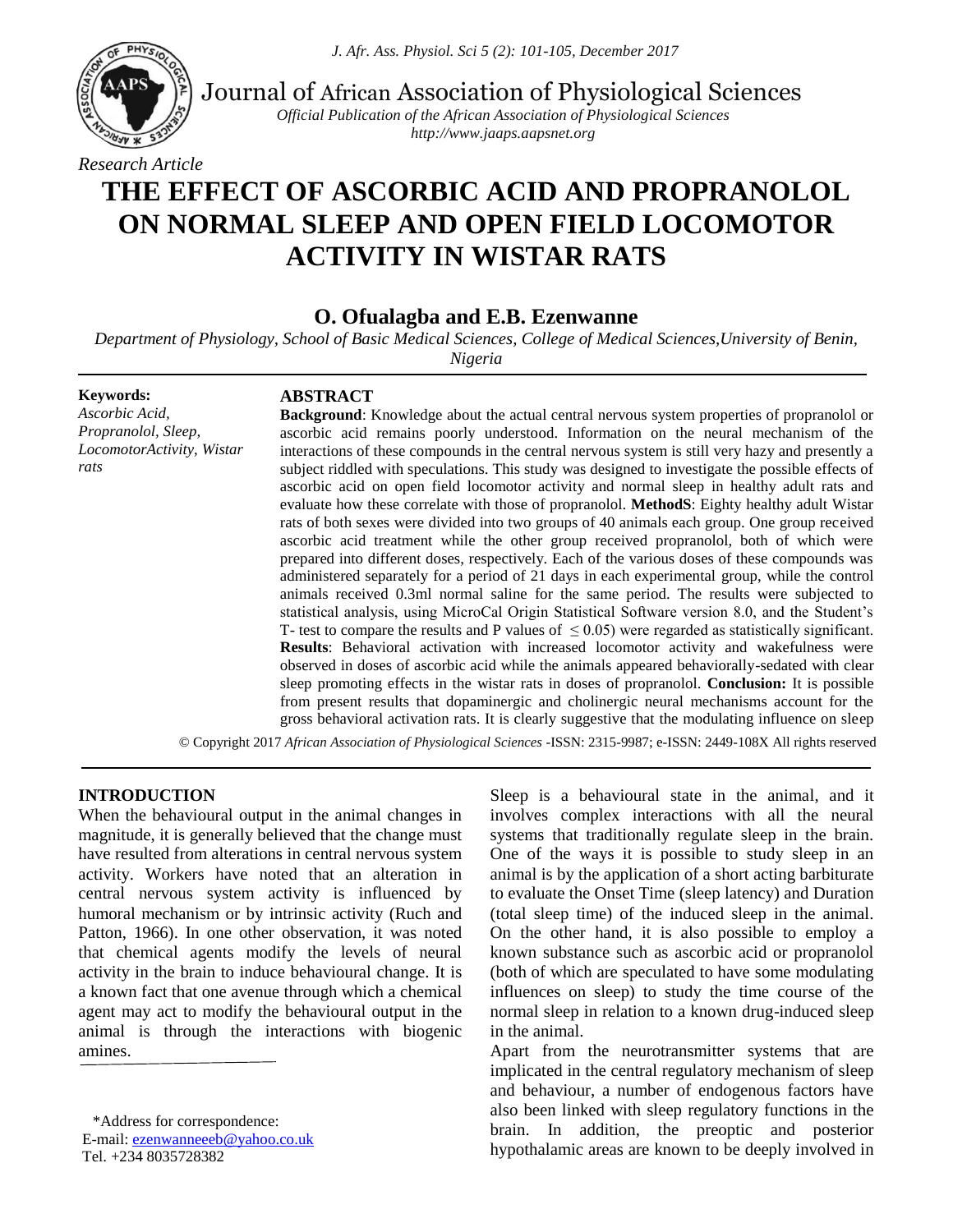

Journal of African Association of Physiological Sciences

*Official Publication of the African Association of Physiological Sciences http://www.jaaps.aapsnet.org*

# **THE EFFECT OF ASCORBIC ACID AND PROPRANOLOL ON NORMAL SLEEP AND OPEN FIELD LOCOMOTOR ACTIVITY IN WISTAR RATS**

**O. Ofualagba and E.B. Ezenwanne**

*Department of Physiology, School of Basic Medical Sciences, College of Medical Sciences,University of Benin,* 

*Nigeria*

**Keywords:** *Ascorbic Acid, Propranolol, Sleep, LocomotorActivity, Wistar rats*

## **ABSTRACT**

**Background**: Knowledge about the actual central nervous system properties of propranolol or ascorbic acid remains poorly understood. Information on the neural mechanism of the interactions of these compounds in the central nervous system is still very hazy and presently a subject riddled with speculations. This study was designed to investigate the possible effects of ascorbic acid on open field locomotor activity and normal sleep in healthy adult rats and evaluate how these correlate with those of propranolol. **MethodS**: Eighty healthy adult Wistar rats of both sexes were divided into two groups of 40 animals each group. One group received ascorbic acid treatment while the other group received propranolol, both of which were prepared into different doses, respectively. Each of the various doses of these compounds was administered separately for a period of 21 days in each experimental group, while the control animals received 0.3ml normal saline for the same period. The results were subjected to statistical analysis, using MicroCal Origin Statistical Software version 8.0, and the Student's T- test to compare the results and P values of  $\leq 0.05$ ) were regarded as statistically significant. **Results**: Behavioral activation with increased locomotor activity and wakefulness were observed in doses of ascorbic acid while the animals appeared behaviorally-sedated with clear sleep promoting effects in the wistar rats in doses of propranolol. **Conclusion:** It is possible from present results that dopaminergic and cholinergic neural mechanisms account for the gross behavioral activation rats. It is clearly suggestive that the modulating influence on sleep

© Copyright 2017 *African Association of Physiological Sciences* -ISSN: 2315-9987; e-ISSN: 2449-108X All rights reserved

## **INTRODUCTION**

When the behavioural output in the animal changes in magnitude, it is generally believed that the change must have resulted from alterations in central nervous system activity. Workers have noted that an alteration in central nervous system activity is influenced by humoral mechanism or by intrinsic activity (Ruch and Patton, 1966). In one other observation, it was noted that chemical agents modify the levels of neural activity in the brain to induce behavioural change. It is a known fact that one avenue through which a chemical agent may act to modify the behavioural output in the animal is through the interactions with biogenic amines.

\*Address for correspondence:

E-mail: [ezenwanneeeb@yahoo.co.uk](mailto:ezenwanneeeb@yahoo.co.uk) Tel. +234 8035728382

Sleep is a behavioural state in the animal, and it involves complex interactions with all the neural systems that traditionally regulate sleep in the brain. One of the ways it is possible to study sleep in an animal is by the application of a short acting barbiturate to evaluate the Onset Time (sleep latency) and Duration (total sleep time) of the induced sleep in the animal. On the other hand, it is also possible to employ a known substance such as ascorbic acid or propranolol (both of which are speculated to have some modulating influences on sleep) to study the time course of the normal sleep in relation to a known drug-induced sleep in the animal.

Apart from the neurotransmitter systems that are implicated in the central regulatory mechanism of sleep and behaviour, a number of endogenous factors have also been linked with sleep regulatory functions in the brain. In addition, the preoptic and posterior hypothalamic areas are known to be deeply involved in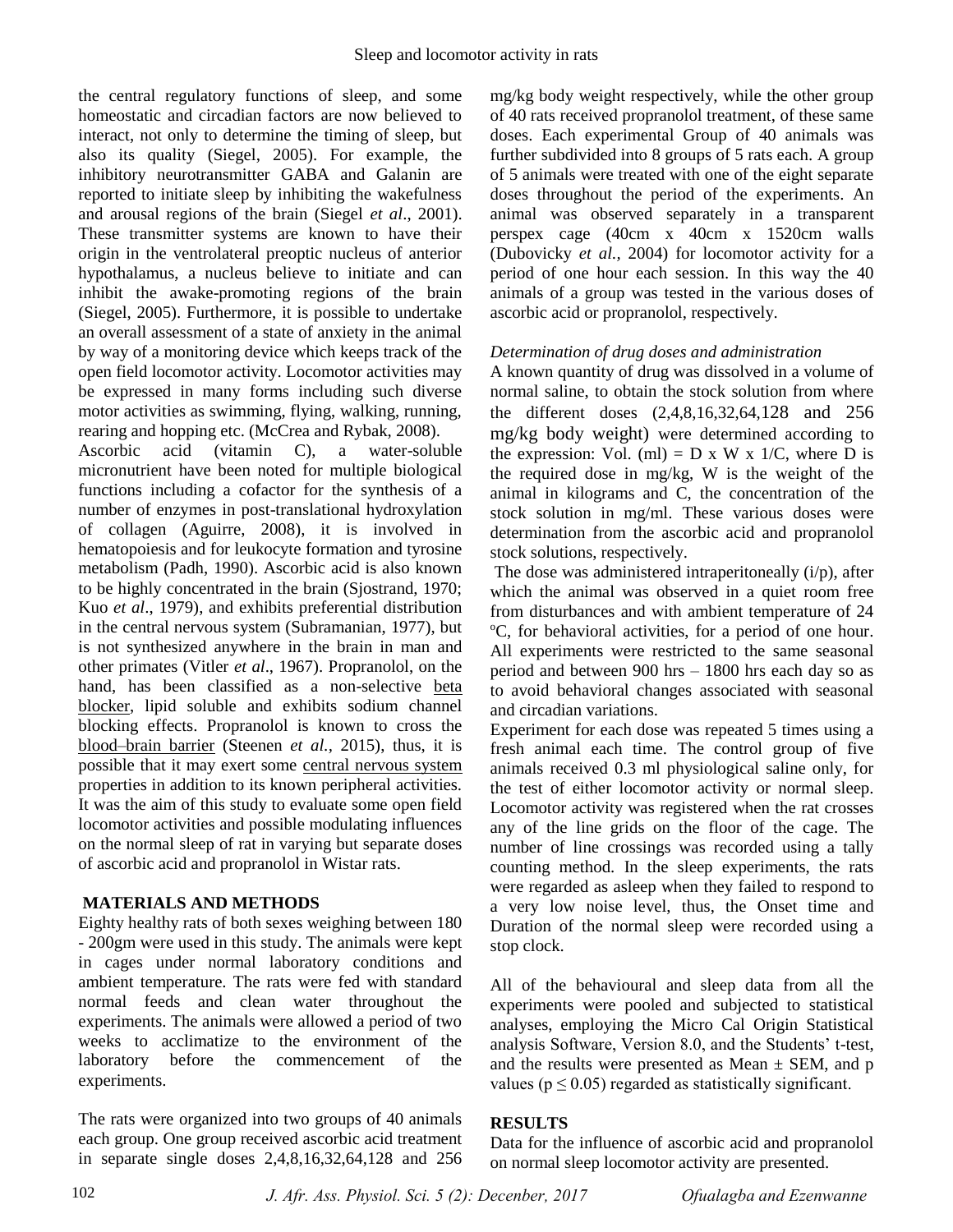the central regulatory functions of sleep, and some homeostatic and circadian factors are now believed to interact, not only to determine the timing of sleep, but also its quality (Siegel, 2005). For example, the inhibitory neurotransmitter GABA and Galanin are reported to initiate sleep by inhibiting the wakefulness and arousal regions of the brain (Siegel *et al*., 2001). These transmitter systems are known to have their origin in the ventrolateral preoptic nucleus of anterior hypothalamus, a nucleus believe to initiate and can inhibit the awake-promoting regions of the brain (Siegel, 2005). Furthermore, it is possible to undertake an overall assessment of a state of anxiety in the animal by way of a monitoring device which keeps track of the open field locomotor activity. Locomotor activities may be expressed in many forms including such diverse motor activities as swimming, flying, walking, running, rearing and hopping etc. (McCrea and Rybak, 2008).

Ascorbic acid (vitamin C), a water-soluble micronutrient have been noted for multiple biological functions including a cofactor for the synthesis of a number of enzymes in post-translational hydroxylation of collagen (Aguirre, 2008), it is involved in hematopoiesis and for leukocyte formation and tyrosine metabolism (Padh, 1990). Ascorbic acid is also known to be highly concentrated in the brain (Sjostrand, 1970; Kuo *et al*., 1979), and exhibits preferential distribution in the central nervous system (Subramanian, 1977), but is not synthesized anywhere in the brain in man and other primates (Vitler *et al*., 1967). Propranolol, on the hand, has been classified as a non-selective [beta](https://en.wikipedia.org/wiki/Beta_blocker)  [blocker,](https://en.wikipedia.org/wiki/Beta_blocker) lipid soluble and exhibits sodium channel blocking effects. Propranolol is known to cross the [blood–brain barrier](https://en.wikipedia.org/wiki/Blood%E2%80%93brain_barrier) (Steenen *et al.,* 2015), thus, it is possible that it may exert some [central nervous system](https://en.wikipedia.org/wiki/Central_nervous_system) properties in addition to its known peripheral activities. It was the aim of this study to evaluate some open field locomotor activities and possible modulating influences on the normal sleep of rat in varying but separate doses of ascorbic acid and propranolol in Wistar rats.

## **MATERIALS AND METHODS**

Eighty healthy rats of both sexes weighing between 180 - 200gm were used in this study. The animals were kept in cages under normal laboratory conditions and ambient temperature. The rats were fed with standard normal feeds and clean water throughout the experiments. The animals were allowed a period of two weeks to acclimatize to the environment of the laboratory before the commencement of the experiments.

The rats were organized into two groups of 40 animals each group. One group received ascorbic acid treatment in separate single doses 2,4,8,16,32,64,128 and 256 mg/kg body weight respectively, while the other group of 40 rats received propranolol treatment, of these same doses. Each experimental Group of 40 animals was further subdivided into 8 groups of 5 rats each. A group of 5 animals were treated with one of the eight separate doses throughout the period of the experiments. An animal was observed separately in a transparent perspex cage (40cm x 40cm x 1520cm walls (Dubovicky *et al.,* 2004) for locomotor activity for a period of one hour each session. In this way the 40 animals of a group was tested in the various doses of ascorbic acid or propranolol, respectively.

## *Determination of drug doses and administration*

A known quantity of drug was dissolved in a volume of normal saline, to obtain the stock solution from where the different doses (2,4,8,16,32,64,128 and 256 mg/kg body weight) were determined according to the expression: Vol. (ml) =  $D \times W \times 1/C$ , where  $D$  is the required dose in mg/kg, W is the weight of the animal in kilograms and C, the concentration of the stock solution in mg/ml. These various doses were determination from the ascorbic acid and propranolol stock solutions, respectively.

The dose was administered intraperitoneally (i/p), after which the animal was observed in a quiet room free from disturbances and with ambient temperature of 24 <sup>o</sup>C, for behavioral activities, for a period of one hour. All experiments were restricted to the same seasonal period and between 900 hrs – 1800 hrs each day so as to avoid behavioral changes associated with seasonal and circadian variations.

Experiment for each dose was repeated 5 times using a fresh animal each time. The control group of five animals received 0.3 ml physiological saline only, for the test of either locomotor activity or normal sleep. Locomotor activity was registered when the rat crosses any of the line grids on the floor of the cage. The number of line crossings was recorded using a tally counting method. In the sleep experiments, the rats were regarded as asleep when they failed to respond to a very low noise level, thus, the Onset time and Duration of the normal sleep were recorded using a stop clock.

All of the behavioural and sleep data from all the experiments were pooled and subjected to statistical analyses, employing the Micro Cal Origin Statistical analysis Software, Version 8.0, and the Students' t-test, and the results were presented as Mean  $\pm$  SEM, and p values ( $p \le 0.05$ ) regarded as statistically significant.

## **RESULTS**

Data for the influence of ascorbic acid and propranolol on normal sleep locomotor activity are presented.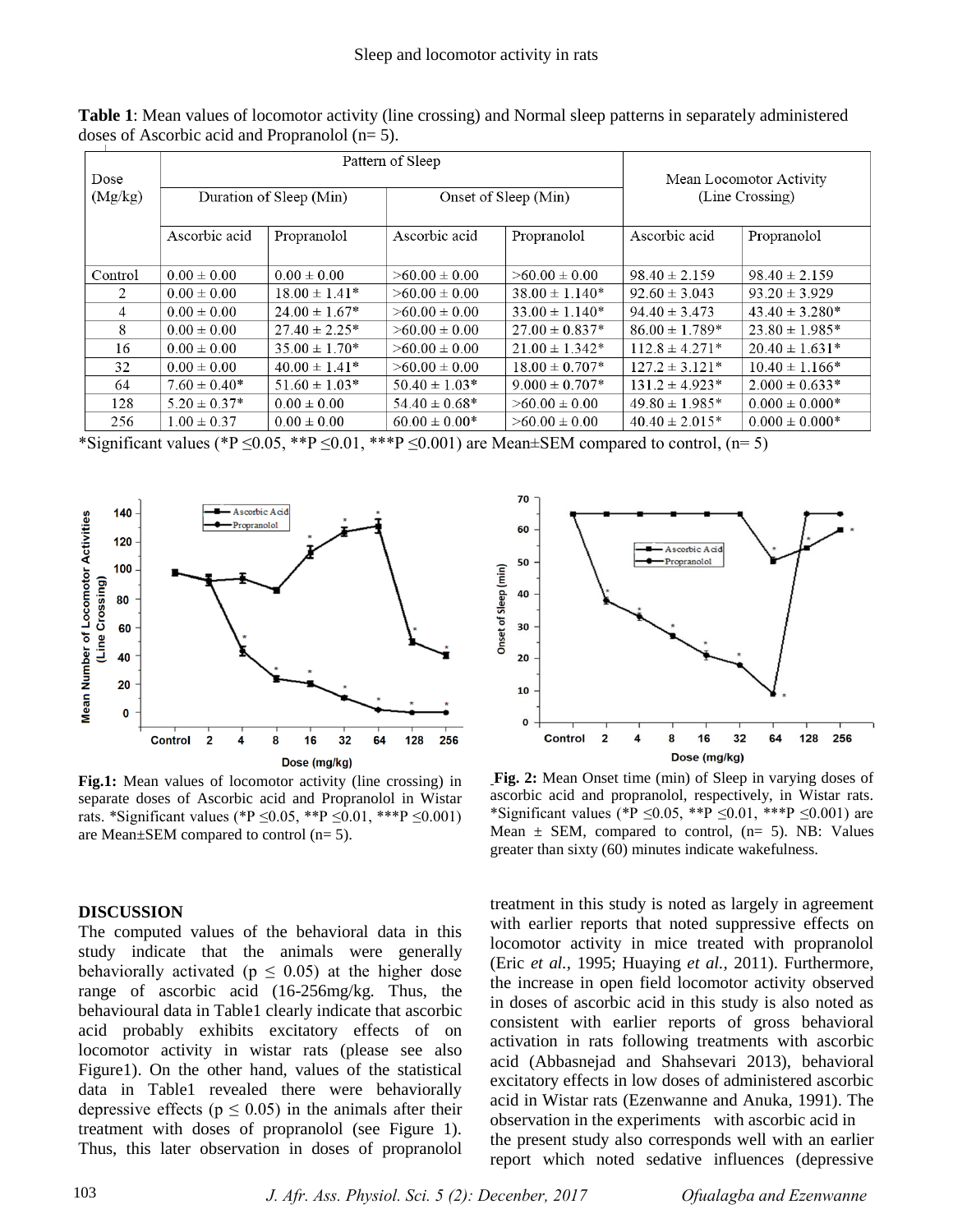**Table 1**: Mean values of locomotor activity (line crossing) and Normal sleep patterns in separately administered doses of Ascorbic acid and Propranolol (n= 5).

| Dose    | Pattern of Sleep        |                    |                      |                     | Mean Locomotor Activity |                    |
|---------|-------------------------|--------------------|----------------------|---------------------|-------------------------|--------------------|
| (Mg/kg) | Duration of Sleep (Min) |                    | Onset of Sleep (Min) |                     | (Line Crossing)         |                    |
|         | Ascorbic acid           | Propranolol        | Ascorbic acid        | Propranolol         | Ascorbic acid           | Propranolol        |
| Control | $0.00 \pm 0.00$         | $0.00 \pm 0.00$    | $>60.00 \pm 0.00$    | $>60.00 \pm 0.00$   | $98.40 \pm 2.159$       | $98.40 \pm 2.159$  |
| 2       | $0.00 \pm 0.00$         | $18.00 \pm 1.41^*$ | $>60.00 \pm 0.00$    | $38.00 \pm 1.140*$  | $92.60 \pm 3.043$       | $93.20 \pm 3.929$  |
| 4       | $0.00 \pm 0.00$         | $24.00 \pm 1.67^*$ | $>60.00 \pm 0.00$    | $33.00 \pm 1.140^*$ | $94.40 \pm 3.473$       | $43.40 \pm 3.280*$ |
| 8       | $0.00 \pm 0.00$         | $27.40 \pm 2.25^*$ | $>60.00 \pm 0.00$    | $27.00 \pm 0.837*$  | $86.00 \pm 1.789*$      | $23.80 \pm 1.985*$ |
| 16      | $0.00 \pm 0.00$         | $35.00 \pm 1.70*$  | $>60.00 \pm 0.00$    | $21.00 \pm 1.342^*$ | $112.8 \pm 4.271*$      | $20.40 \pm 1.631*$ |
| 32      | $0.00 \pm 0.00$         | $40.00 \pm 1.41^*$ | $>60.00 \pm 0.00$    | $18.00 \pm 0.707*$  | $127.2 \pm 3.121*$      | $10.40 \pm 1.166*$ |
| 64      | $7.60 \pm 0.40^*$       | $51.60 \pm 1.03*$  | $50.40 \pm 1.03*$    | $9.000 \pm 0.707*$  | $131.2 \pm 4.923*$      | $2.000 \pm 0.633*$ |
| 128     | $5.20 \pm 0.37*$        | $0.00 \pm 0.00$    | $54.40 \pm 0.68^*$   | $>60.00 \pm 0.00$   | $49.80 \pm 1.985*$      | $0.000 \pm 0.000*$ |
| 256     | $1.00 \pm 0.37$         | $0.00 \pm 0.00$    | $60.00 \pm 0.00*$    | $>60.00 \pm 0.00$   | $40.40 \pm 2.015*$      | $0.000 \pm 0.000*$ |

\*Significant values (\*P  $\leq$ 0.05, \*\*P  $\leq$ 0.01, \*\*\*P  $\leq$ 0.001) are Mean±SEM compared to control, (n= 5)



**Fig.1:** Mean values of locomotor activity (line crossing) in separate doses of Ascorbic acid and Propranolol in Wistar rats. \*Significant values (\*P ≤0.05, \*\*P ≤0.01, \*\*\*P ≤0.001) are Mean±SEM compared to control (n= 5).

#### **DISCUSSION**

The computed values of the behavioral data in this study indicate that the animals were generally behaviorally activated ( $p \le 0.05$ ) at the higher dose range of ascorbic acid (16-256mg/kg. Thus, the behavioural data in Table1 clearly indicate that ascorbic acid probably exhibits excitatory effects of on locomotor activity in wistar rats (please see also Figure1). On the other hand, values of the statistical data in Table1 revealed there were behaviorally depressive effects ( $p \le 0.05$ ) in the animals after their treatment with doses of propranolol (see Figure 1). Thus, this later observation in doses of propranolol



**Fig. 2:** Mean Onset time (min) of Sleep in varying doses of ascorbic acid and propranolol, respectively, in Wistar rats. \*Significant values (\*P ≤0.05, \*\*P ≤0.01, \*\*\*P ≤0.001) are Mean  $\pm$  SEM, compared to control, (n= 5). NB: Values greater than sixty (60) minutes indicate wakefulness.

treatment in this study is noted as largely in agreement with earlier reports that noted suppressive effects on locomotor activity in mice treated with propranolol (Eric *et al.,* 1995; Huaying *et al.,* 2011). Furthermore, the increase in open field locomotor activity observed in doses of ascorbic acid in this study is also noted as consistent with earlier reports of gross behavioral activation in rats following treatments with ascorbic acid (Abbasnejad and Shahsevari 2013), behavioral excitatory effects in low doses of administered ascorbic acid in Wistar rats (Ezenwanne and Anuka, 1991). The observation in the experiments with ascorbic acid in the present study also corresponds well with an earlier report which noted sedative influences (depressive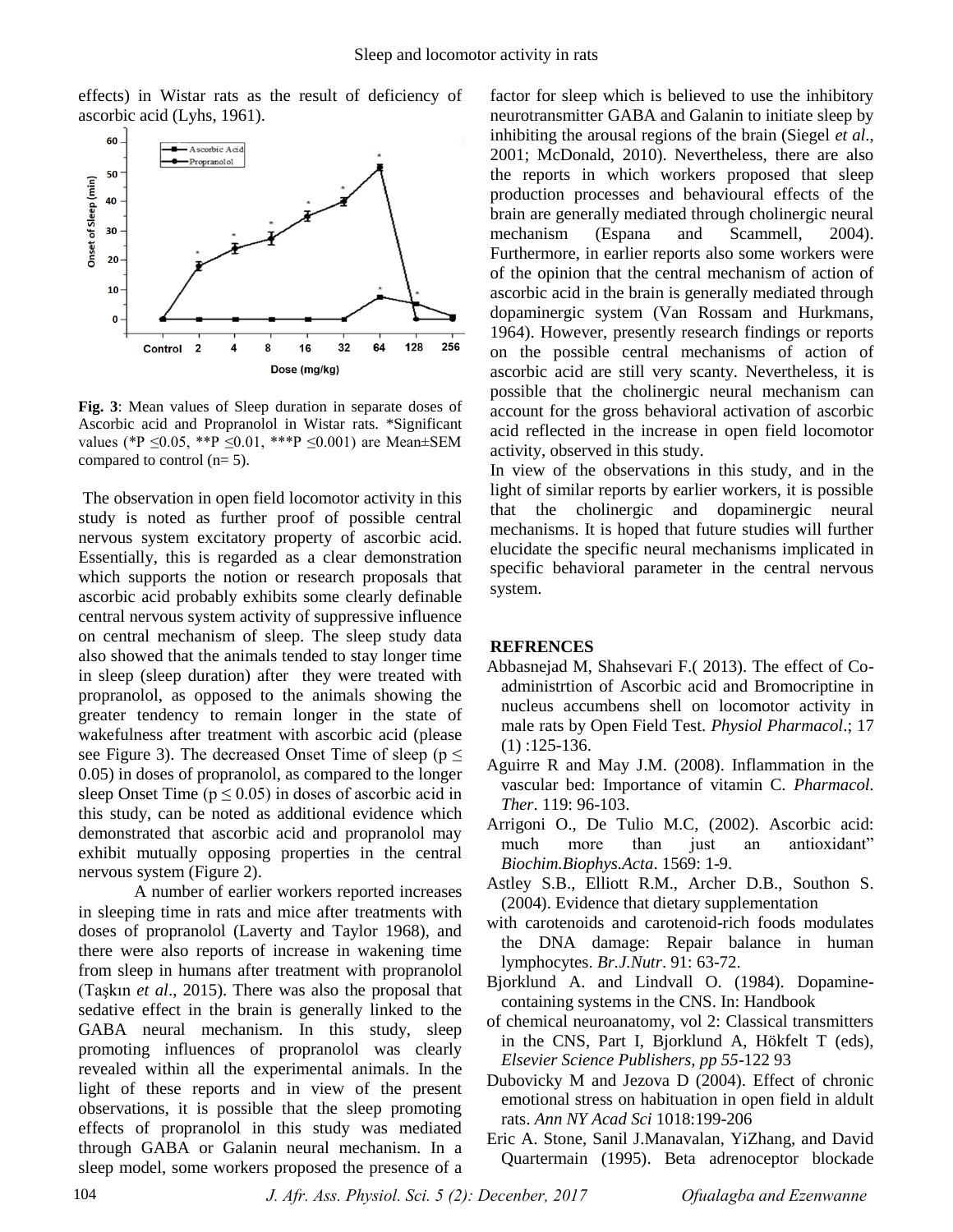effects) in Wistar rats as the result of deficiency of ascorbic acid (Lyhs, 1961).



**Fig. 3**: Mean values of Sleep duration in separate doses of Ascorbic acid and Propranolol in Wistar rats. \*Significant values (\*P  $\leq 0.05$ , \*\*P  $\leq 0.01$ , \*\*\*P  $\leq 0.001$ ) are Mean±SEM compared to control (n= 5).

The observation in open field locomotor activity in this study is noted as further proof of possible central nervous system excitatory property of ascorbic acid. Essentially, this is regarded as a clear demonstration which supports the notion or research proposals that ascorbic acid probably exhibits some clearly definable central nervous system activity of suppressive influence on central mechanism of sleep. The sleep study data also showed that the animals tended to stay longer time in sleep (sleep duration) after they were treated with propranolol, as opposed to the animals showing the greater tendency to remain longer in the state of wakefulness after treatment with ascorbic acid (please see Figure 3). The decreased Onset Time of sleep ( $p \leq$ 0.05) in doses of propranolol, as compared to the longer sleep Onset Time ( $p \le 0.05$ ) in doses of ascorbic acid in this study, can be noted as additional evidence which demonstrated that ascorbic acid and propranolol may exhibit mutually opposing properties in the central nervous system (Figure 2).

 A number of earlier workers reported increases in sleeping time in rats and mice after treatments with doses of propranolol (Laverty and Taylor 1968), and there were also reports of increase in wakening time from sleep in humans after treatment with propranolol (Taşkın *et al*., 2015). There was also the proposal that sedative effect in the brain is generally linked to the GABA neural mechanism. In this study, sleep promoting influences of propranolol was clearly revealed within all the experimental animals. In the light of these reports and in view of the present observations, it is possible that the sleep promoting effects of propranolol in this study was mediated through GABA or Galanin neural mechanism. In a sleep model, some workers proposed the presence of a

factor for sleep which is believed to use the inhibitory neurotransmitter GABA and Galanin to initiate sleep by inhibiting the arousal regions of the brain (Siegel *et al*., 2001; McDonald, 2010). Nevertheless, there are also the reports in which workers proposed that sleep production processes and behavioural effects of the brain are generally mediated through cholinergic neural mechanism (Espana and Scammell, 2004). Furthermore, in earlier reports also some workers were of the opinion that the central mechanism of action of ascorbic acid in the brain is generally mediated through dopaminergic system (Van Rossam and Hurkmans, 1964). However, presently research findings or reports on the possible central mechanisms of action of ascorbic acid are still very scanty. Nevertheless, it is possible that the cholinergic neural mechanism can account for the gross behavioral activation of ascorbic acid reflected in the increase in open field locomotor activity, observed in this study.

In view of the observations in this study, and in the light of similar reports by earlier workers, it is possible that the cholinergic and dopaminergic neural mechanisms. It is hoped that future studies will further elucidate the specific neural mechanisms implicated in specific behavioral parameter in the central nervous system.

#### **REFRENCES**

- Abbasnejad M, Shahsevari F.( 2013). The effect of Coadministrtion of Ascorbic acid and Bromocriptine in nucleus accumbens shell on locomotor activity in male rats by Open Field Test. *Physiol Pharmacol*.; 17 (1) :125-136.
- Aguirre R and May J.M. (2008). Inflammation in the vascular bed: Importance of vitamin C. *Pharmacol. Ther*. 119: 96-103.
- Arrigoni O., De Tulio M.C, (2002). Ascorbic acid: much more than just an antioxidant" *Biochim.Biophys.Acta*. 1569: 1-9.
- Astley S.B., Elliott R.M., Archer D.B., Southon S. (2004). Evidence that dietary supplementation
- with carotenoids and carotenoid-rich foods modulates the DNA damage: Repair balance in human lymphocytes. *Br.J.Nutr*. 91: 63-72.
- Bjorklund A. and Lindvall O. (1984). Dopaminecontaining systems in the CNS. In: Handbook
- of chemical neuroanatomy, vol 2: Classical transmitters in the CNS, Part I, Bjorklund A, Hökfelt T (eds), *Elsevier Science Publishers, pp 55*-122 93
- Dubovicky M and Jezova D (2004). Effect of chronic emotional stress on habituation in open field in aldult rats. *Ann NY Acad Sci* 1018:199-206
- Eric A. Stone, Sanil J.Manavalan, YiZhang, and David Quartermain (1995). Beta adrenoceptor blockade